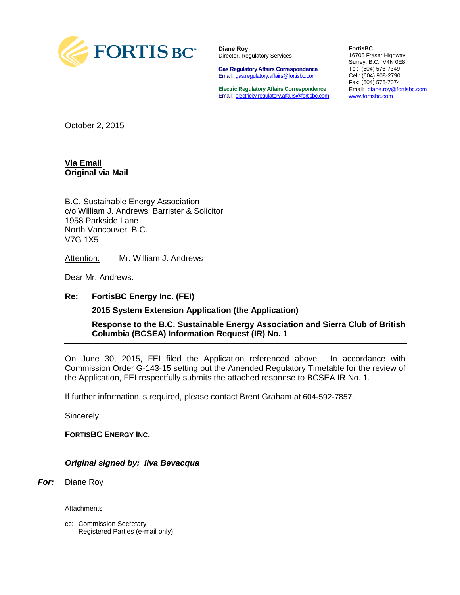

**Diane Roy** Director, Regulatory Services

**Gas Regulatory Affairs Correspondence** Email: [gas.regulatory.affairs@fortisbc.com](mailto:gas.regulatory.affairs@fortisbc.com)

**Electric Regulatory Affairs Correspondence** Email: [electricity.regulatory.affairs@fortisbc.com](mailto:electricity.regulatory.affairs@fortisbc.com)

**FortisBC**  16705 Fraser Highway Surrey, B.C. V4N 0E8 Tel: (604) 576-7349 Cell: (604) 908-2790 Fax: (604) 576-7074 Email: [diane.roy@fortisbc.com](mailto:diane.roy@fortisbc.com)  [www.fortisbc.com](http://www.fortisbc.com/)

October 2, 2015

#### **Via Email Original via Mail**

B.C. Sustainable Energy Association c/o William J. Andrews, Barrister & Solicitor 1958 Parkside Lane North Vancouver, B.C. V7G 1X5

Attention: Mr. William J. Andrews

Dear Mr. Andrews:

#### **Re: FortisBC Energy Inc. (FEI)**

**2015 System Extension Application (the Application)**

**Response to the B.C. Sustainable Energy Association and Sierra Club of British Columbia (BCSEA) Information Request (IR) No. 1**

On June 30, 2015, FEI filed the Application referenced above. In accordance with Commission Order G-143-15 setting out the Amended Regulatory Timetable for the review of the Application, FEI respectfully submits the attached response to BCSEA IR No. 1.

If further information is required, please contact Brent Graham at 604-592-7857.

Sincerely,

**FORTISBC ENERGY INC.**

*Original signed by: Ilva Bevacqua*

*For:* Diane Roy

**Attachments** 

cc: Commission Secretary Registered Parties (e-mail only)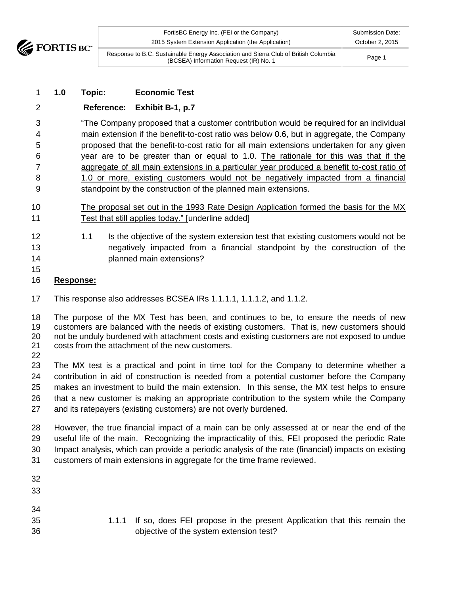

| FortisBC Energy Inc. (FEI or the Company)                                                                                     | <b>Submission Date:</b> |
|-------------------------------------------------------------------------------------------------------------------------------|-------------------------|
| 2015 System Extension Application (the Application)                                                                           | October 2, 2015         |
| Response to B.C. Sustainable Energy Association and Sierra Club of British Columbia<br>(BCSEA) Information Request (IR) No. 1 | Page 1                  |

### **1.0 Topic: Economic Test**

#### **Reference: Exhibit B-1, p.7**

 "The Company proposed that a customer contribution would be required for an individual main extension if the benefit-to-cost ratio was below 0.6, but in aggregate, the Company proposed that the benefit-to-cost ratio for all main extensions undertaken for any given year are to be greater than or equal to 1.0. The rationale for this was that if the aggregate of all main extensions in a particular year produced a benefit to-cost ratio of 1.0 or more, existing customers would not be negatively impacted from a financial standpoint by the construction of the planned main extensions.

- The proposal set out in the 1993 Rate Design Application formed the basis for the MX 11 Test that still applies today." [underline added]
- 12 1.1 Is the objective of the system extension test that existing customers would not be negatively impacted from a financial standpoint by the construction of the planned main extensions?
- 

#### **Response:**

This response also addresses BCSEA IRs 1.1.1.1, 1.1.1.2, and 1.1.2.

 The purpose of the MX Test has been, and continues to be, to ensure the needs of new customers are balanced with the needs of existing customers. That is, new customers should not be unduly burdened with attachment costs and existing customers are not exposed to undue costs from the attachment of the new customers. 

 The MX test is a practical and point in time tool for the Company to determine whether a contribution in aid of construction is needed from a potential customer before the Company makes an investment to build the main extension. In this sense, the MX test helps to ensure that a new customer is making an appropriate contribution to the system while the Company and its ratepayers (existing customers) are not overly burdened.

 However, the true financial impact of a main can be only assessed at or near the end of the useful life of the main. Recognizing the impracticality of this, FEI proposed the periodic Rate Impact analysis, which can provide a periodic analysis of the rate (financial) impacts on existing customers of main extensions in aggregate for the time frame reviewed.

| 32<br>33 |                                                                               |
|----------|-------------------------------------------------------------------------------|
| 34       |                                                                               |
| 35       | 1.1.1 If so, does FEI propose in the present Application that this remain the |
| 36       | objective of the system extension test?                                       |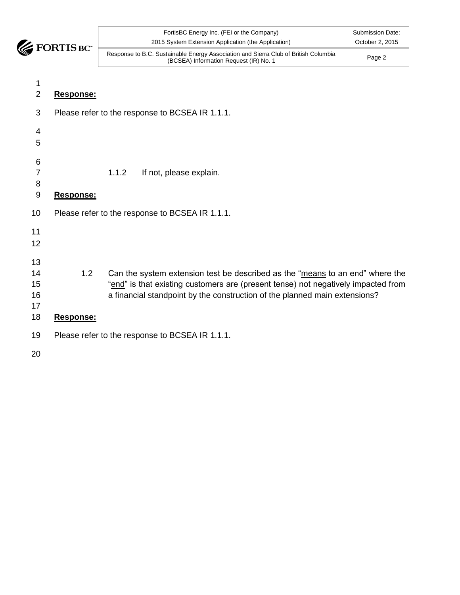

| $3C^*$ | FortisBC Energy Inc. (FEI or the Company)<br>2015 System Extension Application (the Application)                              | Submission Date:<br>October 2, 2015 |
|--------|-------------------------------------------------------------------------------------------------------------------------------|-------------------------------------|
|        | Response to B.C. Sustainable Energy Association and Sierra Club of British Columbia<br>(BCSEA) Information Request (IR) No. 1 | Page 2                              |

| 1<br>$\overline{2}$              | Response:                                                                                                                                                                                                                                                            |
|----------------------------------|----------------------------------------------------------------------------------------------------------------------------------------------------------------------------------------------------------------------------------------------------------------------|
| 3                                | Please refer to the response to BCSEA IR 1.1.1.                                                                                                                                                                                                                      |
| $\overline{4}$<br>5              |                                                                                                                                                                                                                                                                      |
| 6<br>$\overline{7}$<br>8<br>9    | 1.1.2<br>If not, please explain.<br>Response:                                                                                                                                                                                                                        |
| 10                               | Please refer to the response to BCSEA IR 1.1.1.                                                                                                                                                                                                                      |
| 11<br>12                         |                                                                                                                                                                                                                                                                      |
| 13<br>14<br>15<br>16<br>17<br>18 | 1.2<br>Can the system extension test be described as the "means to an end" where the<br>"end" is that existing customers are (present tense) not negatively impacted from<br>a financial standpoint by the construction of the planned main extensions?<br>Response: |
| 19                               | Please refer to the response to BCSEA IR 1.1.1.                                                                                                                                                                                                                      |
| 20                               |                                                                                                                                                                                                                                                                      |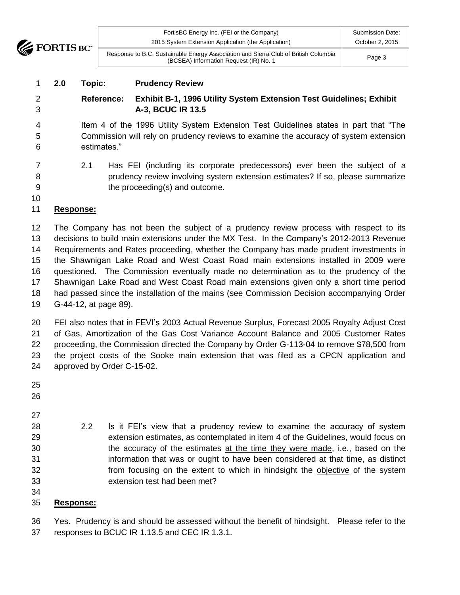

| FortisBC Energy Inc. (FEI or the Company)<br>2015 System Extension Application (the Application)                              | Submission Date:<br>October 2, 2015 |
|-------------------------------------------------------------------------------------------------------------------------------|-------------------------------------|
| Response to B.C. Sustainable Energy Association and Sierra Club of British Columbia<br>(BCSEA) Information Request (IR) No. 1 | Page 3                              |

### **2.0 Topic: Prudency Review**

# **Reference: Exhibit B-1, 1996 Utility System Extension Test Guidelines; Exhibit A-3, BCUC IR 13.5**

 Item 4 of the 1996 Utility System Extension Test Guidelines states in part that "The Commission will rely on prudency reviews to examine the accuracy of system extension estimates."

 2.1 Has FEI (including its corporate predecessors) ever been the subject of a prudency review involving system extension estimates? If so, please summarize the proceeding(s) and outcome.

## **Response:**

 The Company has not been the subject of a prudency review process with respect to its decisions to build main extensions under the MX Test. In the Company's 2012-2013 Revenue Requirements and Rates proceeding, whether the Company has made prudent investments in the Shawnigan Lake Road and West Coast Road main extensions installed in 2009 were questioned. The Commission eventually made no determination as to the prudency of the Shawnigan Lake Road and West Coast Road main extensions given only a short time period had passed since the installation of the mains (see Commission Decision accompanying Order G-44-12, at page 89).

 FEI also notes that in FEVI's 2003 Actual Revenue Surplus, Forecast 2005 Royalty Adjust Cost of Gas, Amortization of the Gas Cost Variance Account Balance and 2005 Customer Rates proceeding, the Commission directed the Company by Order G-113-04 to remove \$78,500 from the project costs of the Sooke main extension that was filed as a CPCN application and approved by Order C-15-02.

- 
- 
- 
- 2.2 Is it FEI's view that a prudency review to examine the accuracy of system extension estimates, as contemplated in item 4 of the Guidelines, would focus on the accuracy of the estimates at the time they were made, i.e., based on the information that was or ought to have been considered at that time, as distinct from focusing on the extent to which in hindsight the objective of the system extension test had been met?
- 

#### **Response:**

 Yes. Prudency is and should be assessed without the benefit of hindsight. Please refer to the responses to BCUC IR 1.13.5 and CEC IR 1.3.1.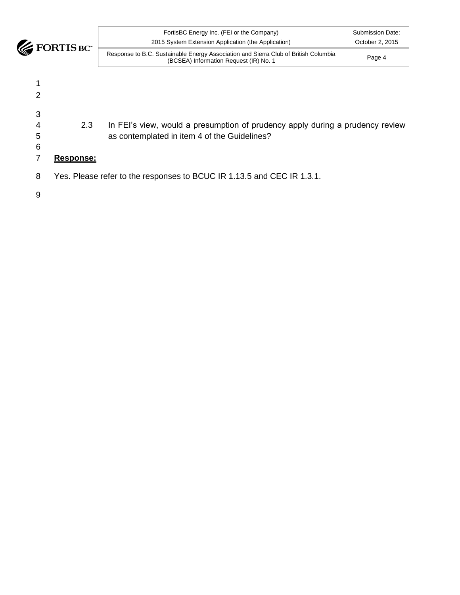

| $\blacksquare$<br>U | FortisBC Energy Inc. (FEI or the Company)<br>2015 System Extension Application (the Application)                              | Submission Date:<br>October 2, 2015 |
|---------------------|-------------------------------------------------------------------------------------------------------------------------------|-------------------------------------|
|                     | Response to B.C. Sustainable Energy Association and Sierra Club of British Columbia<br>(BCSEA) Information Request (IR) No. 1 | Page 4                              |

1 2 3 4 2.3 In FEI's view, would a presumption of prudency apply during a prudency review 5 as contemplated in item 4 of the Guidelines? 6 7 **Response:**

8 Yes. Please refer to the responses to BCUC IR 1.13.5 and CEC IR 1.3.1.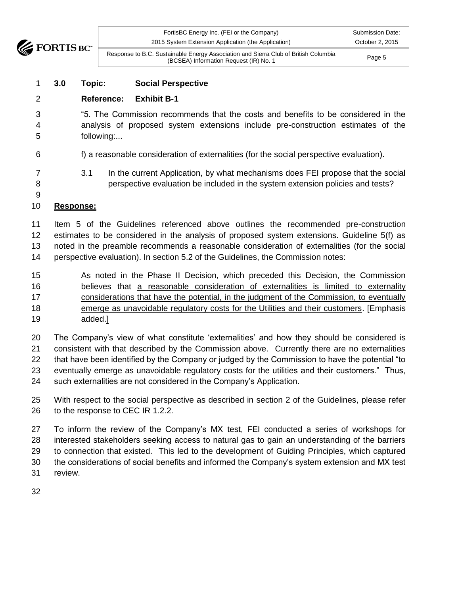

| <b>THE</b> | FortisBC Energy Inc. (FEI or the Company)<br>2015 System Extension Application (the Application)                              | Submission Date:<br>October 2, 2015 |
|------------|-------------------------------------------------------------------------------------------------------------------------------|-------------------------------------|
|            | Response to B.C. Sustainable Energy Association and Sierra Club of British Columbia<br>(BCSEA) Information Request (IR) No. 1 | Page 5                              |

#### **3.0 Topic: Social Perspective**

### **Reference: Exhibit B-1**

- "5. The Commission recommends that the costs and benefits to be considered in the analysis of proposed system extensions include pre-construction estimates of the following:...
- f) a reasonable consideration of externalities (for the social perspective evaluation).
- 3.1 In the current Application, by what mechanisms does FEI propose that the social perspective evaluation be included in the system extension policies and tests?

#### **Response:**

 Item 5 of the Guidelines referenced above outlines the recommended pre-construction estimates to be considered in the analysis of proposed system extensions. Guideline 5(f) as noted in the preamble recommends a reasonable consideration of externalities (for the social perspective evaluation). In section 5.2 of the Guidelines, the Commission notes:

- As noted in the Phase II Decision, which preceded this Decision, the Commission believes that a reasonable consideration of externalities is limited to externality 17 considerations that have the potential, in the judgment of the Commission, to eventually emerge as unavoidable regulatory costs for the Utilities and their customers. [Emphasis added.]
- The Company's view of what constitute 'externalities' and how they should be considered is consistent with that described by the Commission above. Currently there are no externalities that have been identified by the Company or judged by the Commission to have the potential "to eventually emerge as unavoidable regulatory costs for the utilities and their customers." Thus, such externalities are not considered in the Company's Application.
- With respect to the social perspective as described in section 2 of the Guidelines, please refer to the response to CEC IR 1.2.2.

 To inform the review of the Company's MX test, FEI conducted a series of workshops for interested stakeholders seeking access to natural gas to gain an understanding of the barriers to connection that existed. This led to the development of Guiding Principles, which captured the considerations of social benefits and informed the Company's system extension and MX test review.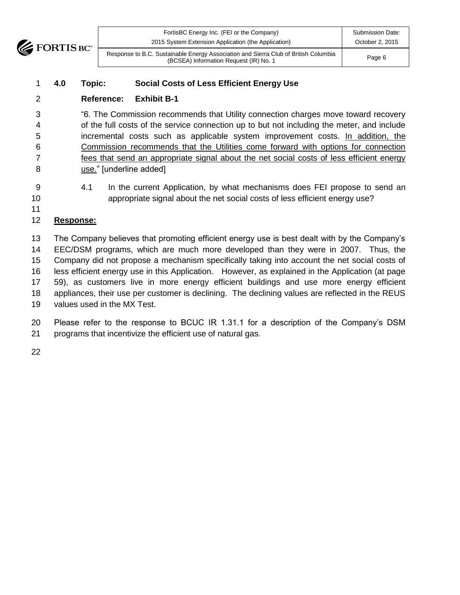

| TM. | FortisBC Energy Inc. (FEI or the Company)<br>2015 System Extension Application (the Application)                              | Submission Date:<br>October 2, 2015 |
|-----|-------------------------------------------------------------------------------------------------------------------------------|-------------------------------------|
|     | Response to B.C. Sustainable Energy Association and Sierra Club of British Columbia<br>(BCSEA) Information Request (IR) No. 1 | Page 6                              |

## **4.0 Topic: Social Costs of Less Efficient Energy Use**

### **Reference: Exhibit B-1**

 "6. The Commission recommends that Utility connection charges move toward recovery of the full costs of the service connection up to but not including the meter, and include incremental costs such as applicable system improvement costs. In addition, the Commission recommends that the Utilities come forward with options for connection fees that send an appropriate signal about the net social costs of less efficient energy 8 use." [underline added]

 4.1 In the current Application, by what mechanisms does FEI propose to send an appropriate signal about the net social costs of less efficient energy use?

#### **Response:**

 The Company believes that promoting efficient energy use is best dealt with by the Company's EEC/DSM programs, which are much more developed than they were in 2007. Thus, the Company did not propose a mechanism specifically taking into account the net social costs of less efficient energy use in this Application. However, as explained in the Application (at page 59), as customers live in more energy efficient buildings and use more energy efficient appliances, their use per customer is declining. The declining values are reflected in the REUS values used in the MX Test.

 Please refer to the response to BCUC IR 1.31.1 for a description of the Company's DSM programs that incentivize the efficient use of natural gas.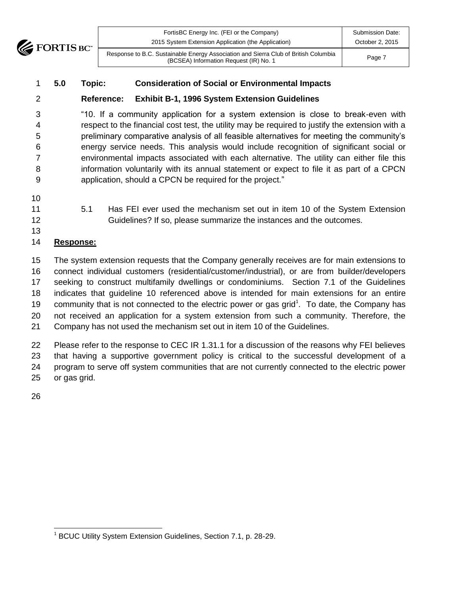

| $\mathbf{C}^*$ | FortisBC Energy Inc. (FEI or the Company)<br>2015 System Extension Application (the Application)                              | Submission Date:<br>October 2, 2015 |
|----------------|-------------------------------------------------------------------------------------------------------------------------------|-------------------------------------|
|                | Response to B.C. Sustainable Energy Association and Sierra Club of British Columbia<br>(BCSEA) Information Request (IR) No. 1 | Page 7                              |

### **5.0 Topic: Consideration of Social or Environmental Impacts**

## **Reference: Exhibit B-1, 1996 System Extension Guidelines**

 "10. If a community application for a system extension is close to break-even with respect to the financial cost test, the utility may be required to justify the extension with a preliminary comparative analysis of all feasible alternatives for meeting the community's energy service needs. This analysis would include recognition of significant social or environmental impacts associated with each alternative. The utility can either file this information voluntarily with its annual statement or expect to file it as part of a CPCN application, should a CPCN be required for the project."

- 
- 
- 
- 5.1 Has FEI ever used the mechanism set out in item 10 of the System Extension Guidelines? If so, please summarize the instances and the outcomes.
- 

## **Response:**

 The system extension requests that the Company generally receives are for main extensions to connect individual customers (residential/customer/industrial), or are from builder/developers seeking to construct multifamily dwellings or condominiums. Section 7.1 of the Guidelines indicates that guideline 10 referenced above is intended for main extensions for an entire 19 community that is not connected to the electric power or gas grid<sup>1</sup>. To date, the Company has not received an application for a system extension from such a community. Therefore, the Company has not used the mechanism set out in item 10 of the Guidelines.

 Please refer to the response to CEC IR 1.31.1 for a discussion of the reasons why FEI believes that having a supportive government policy is critical to the successful development of a program to serve off system communities that are not currently connected to the electric power or gas grid.

 <sup>1</sup> BCUC Utility System Extension Guidelines, Section 7.1, p. 28-29.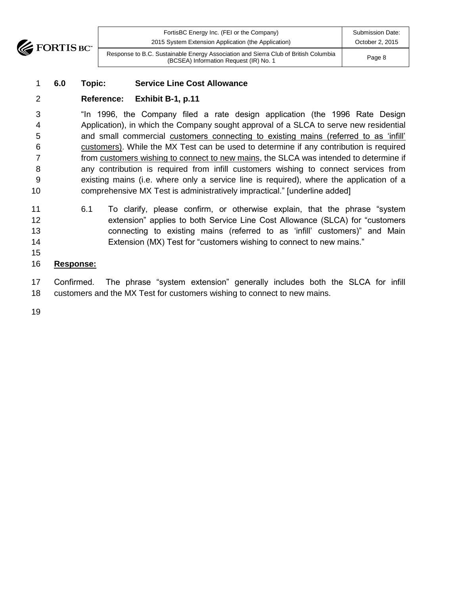

| <b>TIM</b> | FortisBC Energy Inc. (FEI or the Company)                                                                                     | <b>Submission Date:</b> |
|------------|-------------------------------------------------------------------------------------------------------------------------------|-------------------------|
|            | 2015 System Extension Application (the Application)                                                                           | October 2, 2015         |
|            | Response to B.C. Sustainable Energy Association and Sierra Club of British Columbia<br>(BCSEA) Information Request (IR) No. 1 | Page 8                  |

#### **6.0 Topic: Service Line Cost Allowance**

#### **Reference: Exhibit B-1, p.11**

 "In 1996, the Company filed a rate design application (the 1996 Rate Design Application), in which the Company sought approval of a SLCA to serve new residential 5 and small commercial customers connecting to existing mains (referred to as 'infill' customers). While the MX Test can be used to determine if any contribution is required from customers wishing to connect to new mains, the SLCA was intended to determine if any contribution is required from infill customers wishing to connect services from existing mains (i.e. where only a service line is required), where the application of a comprehensive MX Test is administratively impractical." [underline added]

- 6.1 To clarify, please confirm, or otherwise explain, that the phrase "system extension" applies to both Service Line Cost Allowance (SLCA) for "customers connecting to existing mains (referred to as 'infill' customers)" and Main Extension (MX) Test for "customers wishing to connect to new mains."
- 

#### **Response:**

 Confirmed. The phrase "system extension" generally includes both the SLCA for infill customers and the MX Test for customers wishing to connect to new mains.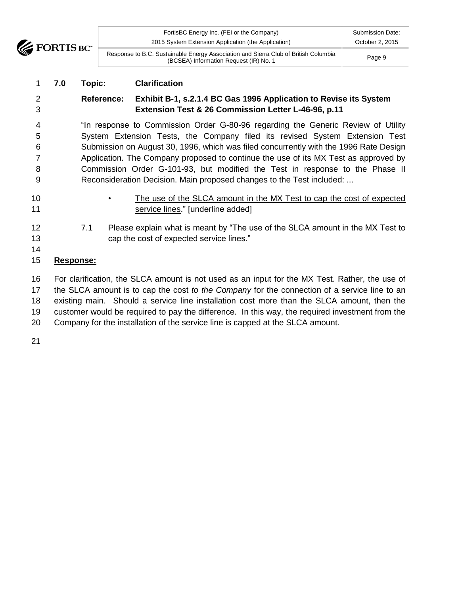**EXECUTE FORTIS BC** 

| <b>TM</b> | FortisBC Energy Inc. (FEI or the Company)<br>2015 System Extension Application (the Application)                              | Submission Date:<br>October 2, 2015 |
|-----------|-------------------------------------------------------------------------------------------------------------------------------|-------------------------------------|
|           | Response to B.C. Sustainable Energy Association and Sierra Club of British Columbia<br>(BCSEA) Information Request (IR) No. 1 | Page 9                              |

### **7.0 Topic: Clarification**

# **Reference: Exhibit B-1, s.2.1.4 BC Gas 1996 Application to Revise its System Extension Test & 26 Commission Letter L-46-96, p.11**

 "In response to Commission Order G-80-96 regarding the Generic Review of Utility System Extension Tests, the Company filed its revised System Extension Test Submission on August 30, 1996, which was filed concurrently with the 1996 Rate Design Application. The Company proposed to continue the use of its MX Test as approved by Commission Order G-101-93, but modified the Test in response to the Phase II Reconsideration Decision. Main proposed changes to the Test included: ...

- 
- 10 The use of the SLCA amount in the MX Test to cap the cost of expected **Service lines.**" [underline added]
- 7.1 Please explain what is meant by "The use of the SLCA amount in the MX Test to cap the cost of expected service lines."
- 

## **Response:**

 For clarification, the SLCA amount is not used as an input for the MX Test. Rather, the use of the SLCA amount is to cap the cost *to the Company* for the connection of a service line to an existing main. Should a service line installation cost more than the SLCA amount, then the customer would be required to pay the difference. In this way, the required investment from the Company for the installation of the service line is capped at the SLCA amount.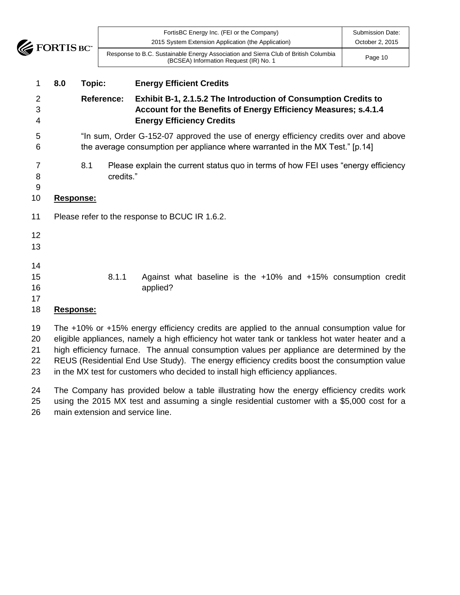

| 8.0<br>Topic:    | <b>Energy Efficient Credits</b>                                                                                               |                                     |
|------------------|-------------------------------------------------------------------------------------------------------------------------------|-------------------------------------|
|                  | Response to B.C. Sustainable Energy Association and Sierra Club of British Columbia<br>(BCSEA) Information Request (IR) No. 1 | Page 10                             |
| <b>FORTIS BC</b> | FortisBC Energy Inc. (FEI or the Company)<br>2015 System Extension Application (the Application)                              | Submission Date:<br>October 2, 2015 |

# **Reference: Exhibit B-1, 2.1.5.2 The Introduction of Consumption Credits to Account for the Benefits of Energy Efficiency Measures; s.4.1.4 Energy Efficiency Credits**

- "In sum, Order G-152-07 approved the use of energy efficiency credits over and above the average consumption per appliance where warranted in the MX Test." [p.14]
- 8.1 Please explain the current status quo in terms of how FEI uses "energy efficiency **credits.**"

#### **Response:**

- Please refer to the response to BCUC IR 1.6.2.
- 
- 

- 
- 
- 
- 8.1.1 Against what baseline is the +10% and +15% consumption credit 16 applied?
- 

# **Response:**

 The +10% or +15% energy efficiency credits are applied to the annual consumption value for eligible appliances, namely a high efficiency hot water tank or tankless hot water heater and a high efficiency furnace. The annual consumption values per appliance are determined by the REUS (Residential End Use Study). The energy efficiency credits boost the consumption value in the MX test for customers who decided to install high efficiency appliances.

 The Company has provided below a table illustrating how the energy efficiency credits work using the 2015 MX test and assuming a single residential customer with a \$5,000 cost for a main extension and service line.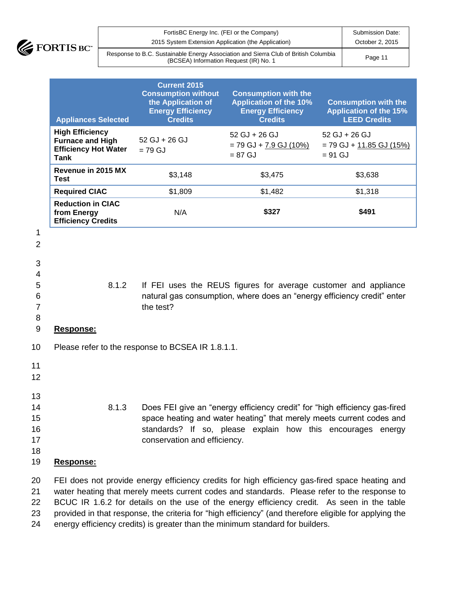

| FortisBC Energy Inc. (FEI or the Company)                                                                                     | <b>Submission Date:</b> |
|-------------------------------------------------------------------------------------------------------------------------------|-------------------------|
| 2015 System Extension Application (the Application)                                                                           | October 2, 2015         |
| Response to B.C. Sustainable Energy Association and Sierra Club of British Columbia<br>(BCSEA) Information Request (IR) No. 1 | Page 11                 |

|                                              | <b>Appliances Selected</b>                                                                      | <b>Current 2015</b><br><b>Consumption without</b><br>the Application of<br><b>Energy Efficiency</b><br><b>Credits</b> | <b>Consumption with the</b><br><b>Application of the 10%</b><br><b>Energy Efficiency</b><br><b>Credits</b>                                                                                                                                                                                    | <b>Consumption with the</b><br><b>Application of the 15%</b><br><b>LEED Credits</b> |
|----------------------------------------------|-------------------------------------------------------------------------------------------------|-----------------------------------------------------------------------------------------------------------------------|-----------------------------------------------------------------------------------------------------------------------------------------------------------------------------------------------------------------------------------------------------------------------------------------------|-------------------------------------------------------------------------------------|
|                                              | <b>High Efficiency</b><br><b>Furnace and High</b><br><b>Efficiency Hot Water</b><br><b>Tank</b> | 52 GJ + 26 GJ<br>$= 79$ GJ                                                                                            | $52$ GJ + 26 GJ<br>$= 79$ GJ + $7.9$ GJ (10%)<br>$= 87$ GJ                                                                                                                                                                                                                                    | $52$ GJ + 26 GJ<br>$= 79$ GJ + $11.85$ GJ (15%)<br>$= 91$ GJ                        |
|                                              | Revenue in 2015 MX<br><b>Test</b>                                                               | \$3,148                                                                                                               | \$3,475                                                                                                                                                                                                                                                                                       | \$3,638                                                                             |
|                                              | <b>Required CIAC</b>                                                                            | \$1,809                                                                                                               | \$1,482                                                                                                                                                                                                                                                                                       | \$1,318                                                                             |
|                                              | <b>Reduction in CIAC</b><br>from Energy<br><b>Efficiency Credits</b>                            | N/A                                                                                                                   | \$327                                                                                                                                                                                                                                                                                         | \$491                                                                               |
| 1<br>$\overline{2}$                          |                                                                                                 |                                                                                                                       |                                                                                                                                                                                                                                                                                               |                                                                                     |
| 3<br>4<br>5<br>6<br>$\overline{7}$<br>8<br>9 | 8.1.2<br>Response:                                                                              | the test?                                                                                                             | If FEI uses the REUS figures for average customer and appliance<br>natural gas consumption, where does an "energy efficiency credit" enter                                                                                                                                                    |                                                                                     |
| 10                                           |                                                                                                 | Please refer to the response to BCSEA IR 1.8.1.1.                                                                     |                                                                                                                                                                                                                                                                                               |                                                                                     |
| 11<br>12                                     |                                                                                                 |                                                                                                                       |                                                                                                                                                                                                                                                                                               |                                                                                     |
| 13<br>14<br>15<br>16<br>17<br>18<br>19       | 8.1.3<br>Response:                                                                              | conservation and efficiency.                                                                                          | Does FEI give an "energy efficiency credit" for "high efficiency gas-fired<br>space heating and water heating" that merely meets current codes and<br>standards? If so, please explain how this encourages energy                                                                             |                                                                                     |
| 20<br>21<br>つつ                               |                                                                                                 |                                                                                                                       | FEI does not provide energy efficiency credits for high efficiency gas-fired space heating and<br>water heating that merely meets current codes and standards. Please refer to the response to<br>RCLIC IR 1.6.2 for details on the use of the energy efficiency credit. As seen in the table |                                                                                     |

22 BCUC IR 1.6.2 for details on the use of the energy efficiency credit. As seen in the table 23 provided in that response, the criteria for "high efficiency" (and therefore eligible for applying the

24 energy efficiency credits) is greater than the minimum standard for builders.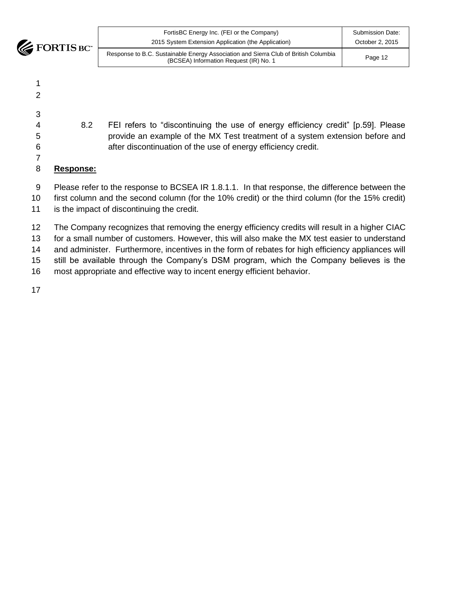**EXECUTE BOY** 

| FortisBC Energy Inc. (FEI or the Company)                                                                                     | Submission Date: |
|-------------------------------------------------------------------------------------------------------------------------------|------------------|
| 2015 System Extension Application (the Application)                                                                           | October 2, 2015  |
| Response to B.C. Sustainable Energy Association and Sierra Club of British Columbia<br>(BCSEA) Information Request (IR) No. 1 | Page 12          |

- 8.2 FEI refers to "discontinuing the use of energy efficiency credit" [p.59]. Please
- provide an example of the MX Test treatment of a system extension before and after discontinuation of the use of energy efficiency credit.

#### **Response:**

- 9 Please refer to the response to BCSEA IR 1.8.1.1. In that response, the difference between the
- first column and the second column (for the 10% credit) or the third column (for the 15% credit)
- is the impact of discontinuing the credit.

 The Company recognizes that removing the energy efficiency credits will result in a higher CIAC for a small number of customers. However, this will also make the MX test easier to understand 14 and administer. Furthermore, incentives in the form of rebates for high efficiency appliances will still be available through the Company's DSM program, which the Company believes is the most appropriate and effective way to incent energy efficient behavior.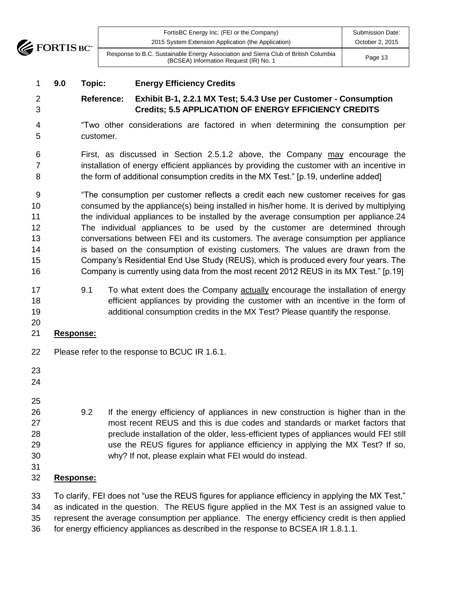

| FortisBC Energy Inc. (FEI or the Company)                                                                                     | Submission Date: |
|-------------------------------------------------------------------------------------------------------------------------------|------------------|
| 2015 System Extension Application (the Application)                                                                           | October 2, 2015  |
| Response to B.C. Sustainable Energy Association and Sierra Club of British Columbia<br>(BCSEA) Information Request (IR) No. 1 | Page 13          |

### **9.0 Topic: Energy Efficiency Credits**

## **Reference: Exhibit B-1, 2.2.1 MX Test; 5.4.3 Use per Customer - Consumption Credits; 5.5 APPLICATION OF ENERGY EFFICIENCY CREDITS**

- "Two other considerations are factored in when determining the consumption per customer.
- First, as discussed in Section 2.5.1.2 above, the Company may encourage the 7 installation of energy efficient appliances by providing the customer with an incentive in the form of additional consumption credits in the MX Test." [p.19, underline added]

 "The consumption per customer reflects a credit each new customer receives for gas consumed by the appliance(s) being installed in his/her home. It is derived by multiplying the individual appliances to be installed by the average consumption per appliance.24 The individual appliances to be used by the customer are determined through conversations between FEI and its customers. The average consumption per appliance is based on the consumption of existing customers. The values are drawn from the Company's Residential End Use Study (REUS), which is produced every four years. The Company is currently using data from the most recent 2012 REUS in its MX Test." [p.19]

- 9.1 To what extent does the Company actually encourage the installation of energy efficient appliances by providing the customer with an incentive in the form of additional consumption credits in the MX Test? Please quantify the response.
- **Response:**
- Please refer to the response to BCUC IR 1.6.1.
- 
- 
- 
- 9.2 If the energy efficiency of appliances in new construction is higher than in the most recent REUS and this is due codes and standards or market factors that preclude installation of the older, less-efficient types of appliances would FEI still use the REUS figures for appliance efficiency in applying the MX Test? If so, why? If not, please explain what FEI would do instead.
- 
- **Response:**

 To clarify, FEI does not "use the REUS figures for appliance efficiency in applying the MX Test," as indicated in the question. The REUS figure applied in the MX Test is an assigned value to represent the average consumption per appliance. The energy efficiency credit is then applied

for energy efficiency appliances as described in the response to BCSEA IR 1.8.1.1.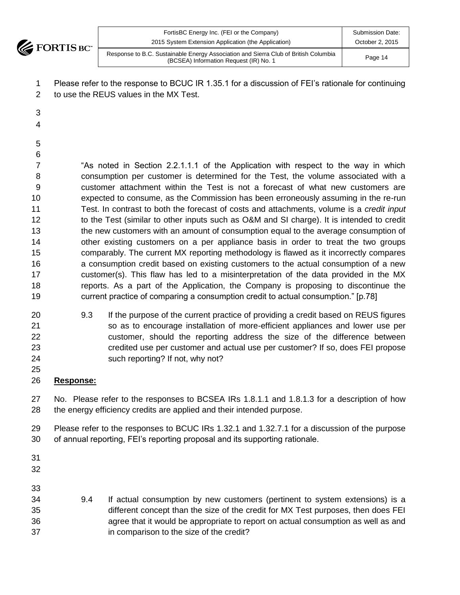

|            | FortisBC Energy Inc. (FEI or the Company)                                                                                     | <b>Submission Date:</b> |
|------------|-------------------------------------------------------------------------------------------------------------------------------|-------------------------|
| <b>TIM</b> | 2015 System Extension Application (the Application)                                                                           | October 2, 2015         |
|            | Response to B.C. Sustainable Energy Association and Sierra Club of British Columbia<br>(BCSEA) Information Request (IR) No. 1 | Page 14                 |

 Please refer to the response to BCUC IR 1.35.1 for a discussion of FEI's rationale for continuing to use the REUS values in the MX Test.

 

- 
- 

 "As noted in Section 2.2.1.1.1 of the Application with respect to the way in which consumption per customer is determined for the Test, the volume associated with a customer attachment within the Test is not a forecast of what new customers are expected to consume, as the Commission has been erroneously assuming in the re-run Test. In contrast to both the forecast of costs and attachments, volume is a *credit input* 12 to the Test (similar to other inputs such as O&M and SI charge). It is intended to credit the new customers with an amount of consumption equal to the average consumption of other existing customers on a per appliance basis in order to treat the two groups comparably. The current MX reporting methodology is flawed as it incorrectly compares a consumption credit based on existing customers to the actual consumption of a new customer(s). This flaw has led to a misinterpretation of the data provided in the MX reports. As a part of the Application, the Company is proposing to discontinue the current practice of comparing a consumption credit to actual consumption." [p.78]

- 9.3 If the purpose of the current practice of providing a credit based on REUS figures so as to encourage installation of more-efficient appliances and lower use per customer, should the reporting address the size of the difference between credited use per customer and actual use per customer? If so, does FEI propose such reporting? If not, why not?
- **Response:**

 No. Please refer to the responses to BCSEA IRs 1.8.1.1 and 1.8.1.3 for a description of how the energy efficiency credits are applied and their intended purpose.

 Please refer to the responses to BCUC IRs 1.32.1 and 1.32.7.1 for a discussion of the purpose of annual reporting, FEI's reporting proposal and its supporting rationale.

 9.4 If actual consumption by new customers (pertinent to system extensions) is a different concept than the size of the credit for MX Test purposes, then does FEI agree that it would be appropriate to report on actual consumption as well as and in comparison to the size of the credit?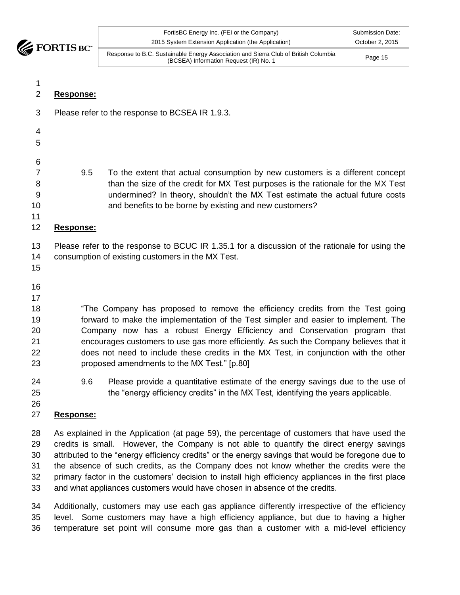

| $\overline{\phantom{a}}$ | FortisBC Energy Inc. (FEI or the Company)<br>2015 System Extension Application (the Application)                              | Submission Date:<br>October 2, 2015 |
|--------------------------|-------------------------------------------------------------------------------------------------------------------------------|-------------------------------------|
| Ċ.                       | Response to B.C. Sustainable Energy Association and Sierra Club of British Columbia<br>(BCSEA) Information Request (IR) No. 1 | Page 15                             |

| 1<br>$\mathbf 2$                             | Response: |                                                                                                                                                                                                                                                                                                                                                                                                                                                                                    |
|----------------------------------------------|-----------|------------------------------------------------------------------------------------------------------------------------------------------------------------------------------------------------------------------------------------------------------------------------------------------------------------------------------------------------------------------------------------------------------------------------------------------------------------------------------------|
| $\sqrt{3}$                                   |           | Please refer to the response to BCSEA IR 1.9.3.                                                                                                                                                                                                                                                                                                                                                                                                                                    |
| 4<br>5                                       |           |                                                                                                                                                                                                                                                                                                                                                                                                                                                                                    |
| 6<br>$\overline{7}$<br>8<br>9<br>10<br>11    | 9.5       | To the extent that actual consumption by new customers is a different concept<br>than the size of the credit for MX Test purposes is the rationale for the MX Test<br>undermined? In theory, shouldn't the MX Test estimate the actual future costs<br>and benefits to be borne by existing and new customers?                                                                                                                                                                     |
| 12                                           | Response: |                                                                                                                                                                                                                                                                                                                                                                                                                                                                                    |
| 13<br>14<br>15                               |           | Please refer to the response to BCUC IR 1.35.1 for a discussion of the rationale for using the<br>consumption of existing customers in the MX Test.                                                                                                                                                                                                                                                                                                                                |
| 16<br>17<br>18<br>19<br>20<br>21<br>22<br>23 |           | "The Company has proposed to remove the efficiency credits from the Test going<br>forward to make the implementation of the Test simpler and easier to implement. The<br>Company now has a robust Energy Efficiency and Conservation program that<br>encourages customers to use gas more efficiently. As such the Company believes that it<br>does not need to include these credits in the MX Test, in conjunction with the other<br>proposed amendments to the MX Test." [p.80] |
| 24<br>25<br>26                               | 9.6       | Please provide a quantitative estimate of the energy savings due to the use of<br>the "energy efficiency credits" in the MX Test, identifying the years applicable.                                                                                                                                                                                                                                                                                                                |
| 27                                           | Response: |                                                                                                                                                                                                                                                                                                                                                                                                                                                                                    |
| 28                                           |           | As explained in the Application (at page 59), the percentage of customers that have used the                                                                                                                                                                                                                                                                                                                                                                                       |

 credits is small. However, the Company is not able to quantify the direct energy savings attributed to the "energy efficiency credits" or the energy savings that would be foregone due to the absence of such credits, as the Company does not know whether the credits were the primary factor in the customers' decision to install high efficiency appliances in the first place and what appliances customers would have chosen in absence of the credits.

 Additionally, customers may use each gas appliance differently irrespective of the efficiency level. Some customers may have a high efficiency appliance, but due to having a higher temperature set point will consume more gas than a customer with a mid-level efficiency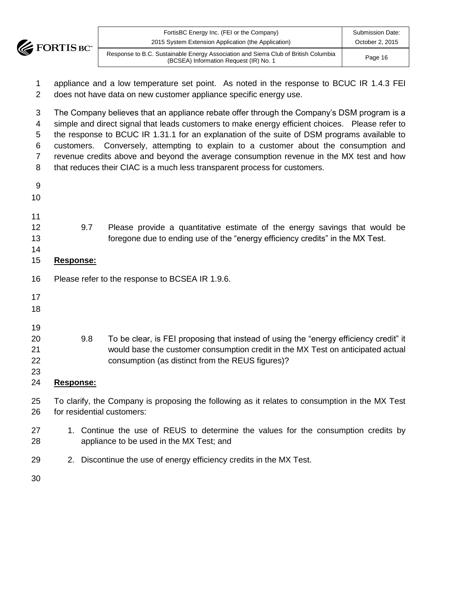

| TM. | FortisBC Energy Inc. (FEI or the Company)<br>2015 System Extension Application (the Application)                              | Submission Date:<br>October 2, 2015 |
|-----|-------------------------------------------------------------------------------------------------------------------------------|-------------------------------------|
|     | Response to B.C. Sustainable Energy Association and Sierra Club of British Columbia<br>(BCSEA) Information Request (IR) No. 1 | Page 16                             |

 appliance and a low temperature set point. As noted in the response to BCUC IR 1.4.3 FEI does not have data on new customer appliance specific energy use.

 The Company believes that an appliance rebate offer through the Company's DSM program is a simple and direct signal that leads customers to make energy efficient choices. Please refer to the response to BCUC IR 1.31.1 for an explanation of the suite of DSM programs available to customers. Conversely, attempting to explain to a customer about the consumption and revenue credits above and beyond the average consumption revenue in the MX test and how that reduces their CIAC is a much less transparent process for customers.

| 9.7       | Please provide a quantitative estimate of the energy savings that would be                     |
|-----------|------------------------------------------------------------------------------------------------|
|           | foregone due to ending use of the "energy efficiency credits" in the MX Test.                  |
|           |                                                                                                |
| Response: |                                                                                                |
|           | Please refer to the response to BCSEA IR 1.9.6.                                                |
|           |                                                                                                |
|           |                                                                                                |
|           |                                                                                                |
| 9.8       | To be clear, is FEI proposing that instead of using the "energy efficiency credit" it          |
|           | would base the customer consumption credit in the MX Test on anticipated actual                |
|           | consumption (as distinct from the REUS figures)?                                               |
|           |                                                                                                |
| Response: |                                                                                                |
|           | To clarify, the Company is proposing the following as it relates to consumption in the MX Test |
|           | for residential customers:                                                                     |
|           | 1. Continue the use of REUS to determine the values for the consumption credits by             |
|           | appliance to be used in the MX Test; and                                                       |
|           | 2. Discontinue the use of energy efficiency credits in the MX Test.                            |
|           |                                                                                                |
|           |                                                                                                |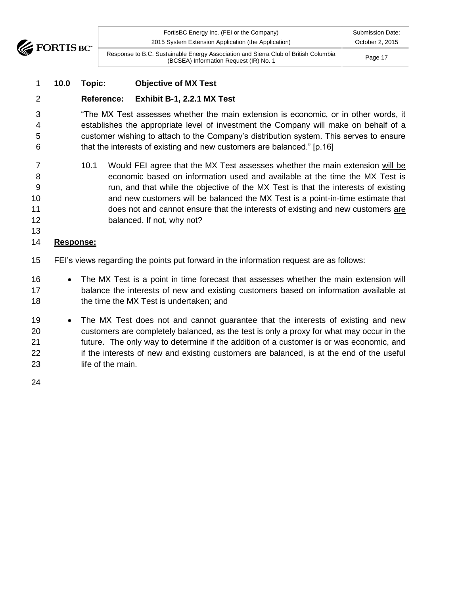

| <b>TM</b> | FortisBC Energy Inc. (FEI or the Company)<br>2015 System Extension Application (the Application)                              | Submission Date:<br>October 2, 2015 |
|-----------|-------------------------------------------------------------------------------------------------------------------------------|-------------------------------------|
|           | Response to B.C. Sustainable Energy Association and Sierra Club of British Columbia<br>(BCSEA) Information Request (IR) No. 1 | Page 17                             |

#### **10.0 Topic: Objective of MX Test**

#### **Reference: Exhibit B-1, 2.2.1 MX Test**

 "The MX Test assesses whether the main extension is economic, or in other words, it establishes the appropriate level of investment the Company will make on behalf of a customer wishing to attach to the Company's distribution system. This serves to ensure that the interests of existing and new customers are balanced." [p.16]

 10.1 Would FEI agree that the MX Test assesses whether the main extension will be economic based on information used and available at the time the MX Test is run, and that while the objective of the MX Test is that the interests of existing **10** and new customers will be balanced the MX Test is a point-in-time estimate that does not and cannot ensure that the interests of existing and new customers are 12 balanced. If not, why not?

#### **Response:**

- FEI's views regarding the points put forward in the information request are as follows:
- 16 The MX Test is a point in time forecast that assesses whether the main extension will balance the interests of new and existing customers based on information available at 18 the time the MX Test is undertaken; and
- 19 The MX Test does not and cannot guarantee that the interests of existing and new customers are completely balanced, as the test is only a proxy for what may occur in the future. The only way to determine if the addition of a customer is or was economic, and 22 if the interests of new and existing customers are balanced, is at the end of the useful life of the main.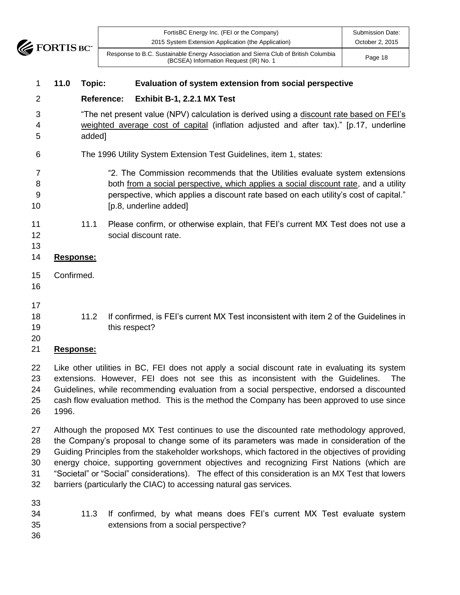

| $\mathbf{w}$ | FortisBC Energy Inc. (FEI or the Company)<br>2015 System Extension Application (the Application)                              | Submission Date:<br>October 2, 2015 |
|--------------|-------------------------------------------------------------------------------------------------------------------------------|-------------------------------------|
|              | Response to B.C. Sustainable Energy Association and Sierra Club of British Columbia<br>(BCSEA) Information Request (IR) No. 1 | Page 18                             |

#### **11.0 Topic: Evaluation of system extension from social perspective**

#### **Reference: Exhibit B-1, 2.2.1 MX Test**

 "The net present value (NPV) calculation is derived using a discount rate based on FEI's weighted average cost of capital (inflation adjusted and after tax)." [p.17, underline added]

- The 1996 Utility System Extension Test Guidelines, item 1, states:
- "2. The Commission recommends that the Utilities evaluate system extensions both from a social perspective, which applies a social discount rate, and a utility perspective, which applies a discount rate based on each utility's cost of capital." **[p.8, underline added]**
- 11 11.1 Please confirm, or otherwise explain, that FEI's current MX Test does not use a social discount rate.

# **Response:**

- Confirmed.
- 

- 
- 18 18 11.2 If confirmed, is FEI's current MX Test inconsistent with item 2 of the Guidelines in 19 this respect?
- 

#### **Response:**

 Like other utilities in BC, FEI does not apply a social discount rate in evaluating its system extensions. However, FEI does not see this as inconsistent with the Guidelines. The Guidelines, while recommending evaluation from a social perspective, endorsed a discounted cash flow evaluation method. This is the method the Company has been approved to use since 1996.

 Although the proposed MX Test continues to use the discounted rate methodology approved, the Company's proposal to change some of its parameters was made in consideration of the Guiding Principles from the stakeholder workshops, which factored in the objectives of providing energy choice, supporting government objectives and recognizing First Nations (which are "Societal" or "Social" considerations). The effect of this consideration is an MX Test that lowers barriers (particularly the CIAC) to accessing natural gas services.

- 
- 11.3 If confirmed, by what means does FEI's current MX Test evaluate system extensions from a social perspective?
-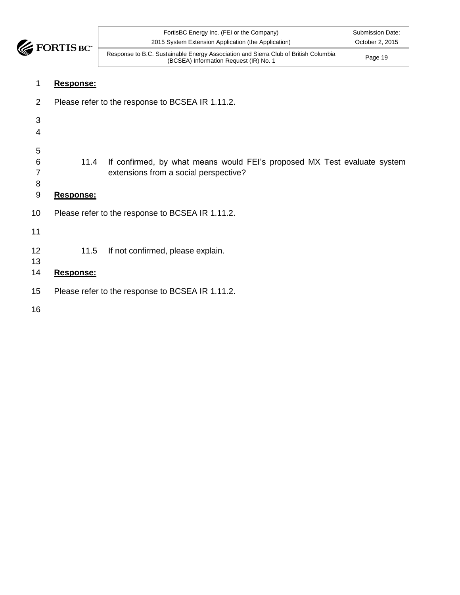

| FortisBC Energy Inc. (FEI or the Company)<br>2015 System Extension Application (the Application)                              | <b>Submission Date:</b><br>October 2, 2015 |
|-------------------------------------------------------------------------------------------------------------------------------|--------------------------------------------|
| Response to B.C. Sustainable Energy Association and Sierra Club of British Columbia<br>(BCSEA) Information Request (IR) No. 1 | Page 19                                    |

#### **Response:**

- Please refer to the response to BCSEA IR 1.11.2.
- 11.4 If confirmed, by what means would FEI's proposed MX Test evaluate system extensions from a social perspective? **Response:** Please refer to the response to BCSEA IR 1.11.2. 11.5 If not confirmed, please explain. **Response:** Please refer to the response to BCSEA IR 1.11.2.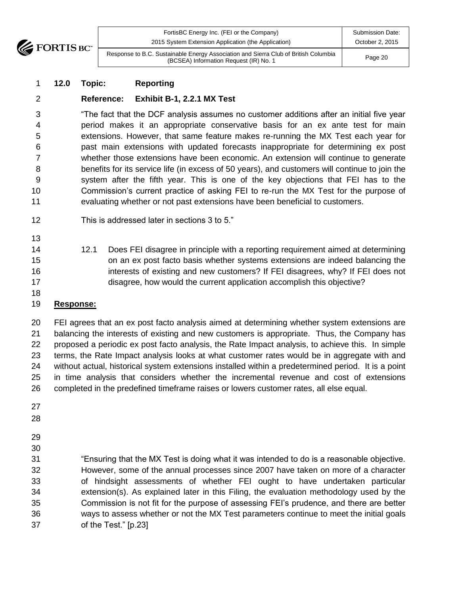

| FortisBC Energy Inc. (FEI or the Company)                                                                                     | Submission Date: |
|-------------------------------------------------------------------------------------------------------------------------------|------------------|
| 2015 System Extension Application (the Application)                                                                           | October 2, 2015  |
| Response to B.C. Sustainable Energy Association and Sierra Club of British Columbia<br>(BCSEA) Information Request (IR) No. 1 | Page 20          |

#### **12.0 Topic: Reporting**

### **Reference: Exhibit B-1, 2.2.1 MX Test**

 "The fact that the DCF analysis assumes no customer additions after an initial five year period makes it an appropriate conservative basis for an ex ante test for main extensions. However, that same feature makes re-running the MX Test each year for past main extensions with updated forecasts inappropriate for determining ex post whether those extensions have been economic. An extension will continue to generate benefits for its service life (in excess of 50 years), and customers will continue to join the system after the fifth year. This is one of the key objections that FEI has to the Commission's current practice of asking FEI to re-run the MX Test for the purpose of evaluating whether or not past extensions have been beneficial to customers.

- This is addressed later in sections 3 to 5."
- 
- 12.1 Does FEI disagree in principle with a reporting requirement aimed at determining on an ex post facto basis whether systems extensions are indeed balancing the interests of existing and new customers? If FEI disagrees, why? If FEI does not disagree, how would the current application accomplish this objective?
- 

#### **Response:**

 FEI agrees that an ex post facto analysis aimed at determining whether system extensions are balancing the interests of existing and new customers is appropriate. Thus, the Company has proposed a periodic ex post facto analysis, the Rate Impact analysis, to achieve this. In simple terms, the Rate Impact analysis looks at what customer rates would be in aggregate with and without actual, historical system extensions installed within a predetermined period. It is a point in time analysis that considers whether the incremental revenue and cost of extensions completed in the predefined timeframe raises or lowers customer rates, all else equal.

- 
- 
- 
- 
- "Ensuring that the MX Test is doing what it was intended to do is a reasonable objective. However, some of the annual processes since 2007 have taken on more of a character of hindsight assessments of whether FEI ought to have undertaken particular extension(s). As explained later in this Filing, the evaluation methodology used by the Commission is not fit for the purpose of assessing FEI's prudence, and there are better ways to assess whether or not the MX Test parameters continue to meet the initial goals of the Test." [p.23]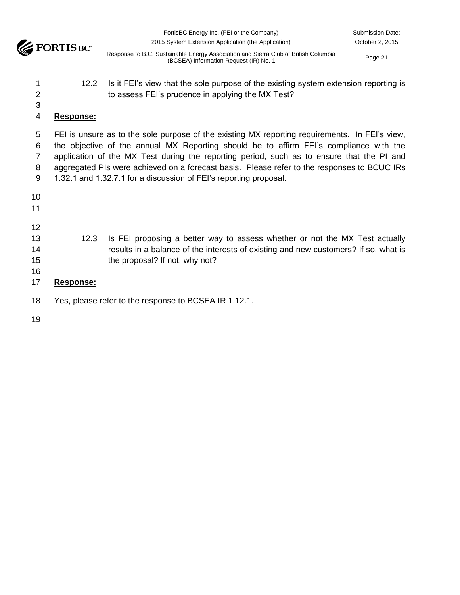

| $\mathbf{w}$ | FortisBC Energy Inc. (FEI or the Company)<br>2015 System Extension Application (the Application)                              | Submission Date:<br>October 2, 2015 |
|--------------|-------------------------------------------------------------------------------------------------------------------------------|-------------------------------------|
|              | Response to B.C. Sustainable Energy Association and Sierra Club of British Columbia<br>(BCSEA) Information Request (IR) No. 1 | Page 21                             |

1 12.2 Is it FEI's view that the sole purpose of the existing system extension reporting is to assess FEI's prudence in applying the MX Test?

#### **Response:**

 FEI is unsure as to the sole purpose of the existing MX reporting requirements. In FEI's view, the objective of the annual MX Reporting should be to affirm FEI's compliance with the application of the MX Test during the reporting period, such as to ensure that the PI and 8 aggregated PIs were achieved on a forecast basis. Please refer to the responses to BCUC IRs 1.32.1 and 1.32.7.1 for a discussion of FEI's reporting proposal.

- 12.3 Is FEI proposing a better way to assess whether or not the MX Test actually **results in a balance of the interests of existing and new customers?** If so, what is 15 the proposal? If not, why not? **Response:**
	- Yes, please refer to the response to BCSEA IR 1.12.1.
	-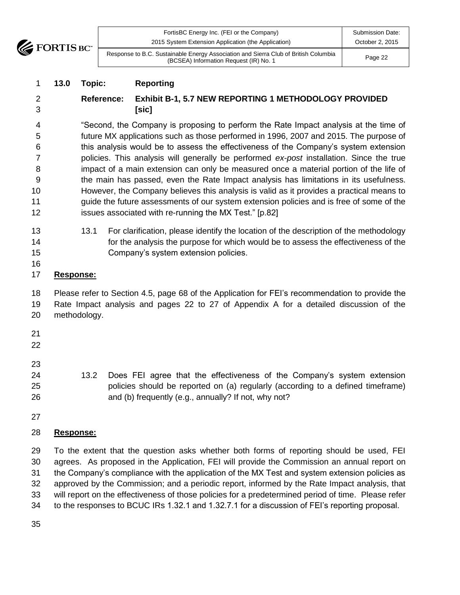**EXECUTE FORTIS BC** 

|     | FortisBC Energy Inc. (FEI or the Company)                                                                                     | Submission Date: |
|-----|-------------------------------------------------------------------------------------------------------------------------------|------------------|
| TM. | 2015 System Extension Application (the Application)                                                                           | October 2, 2015  |
|     | Response to B.C. Sustainable Energy Association and Sierra Club of British Columbia<br>(BCSEA) Information Request (IR) No. 1 | Page 22          |

## **13.0 Topic: Reporting**

 **Reference: Exhibit B-1, 5.7 NEW REPORTING 1 METHODOLOGY PROVIDED [sic]**

 "Second, the Company is proposing to perform the Rate Impact analysis at the time of future MX applications such as those performed in 1996, 2007 and 2015. The purpose of this analysis would be to assess the effectiveness of the Company's system extension policies. This analysis will generally be performed *ex-post* installation. Since the true impact of a main extension can only be measured once a material portion of the life of the main has passed, even the Rate Impact analysis has limitations in its usefulness. However, the Company believes this analysis is valid as it provides a practical means to guide the future assessments of our system extension policies and is free of some of the issues associated with re-running the MX Test." [p.82]

- 13 13.1 For clarification, please identify the location of the description of the methodology for the analysis the purpose for which would be to assess the effectiveness of the Company's system extension policies.
- 

## **Response:**

 Please refer to Section 4.5, page 68 of the Application for FEI's recommendation to provide the Rate Impact analysis and pages 22 to 27 of Appendix A for a detailed discussion of the methodology.

- 
- 13.2 Does FEI agree that the effectiveness of the Company's system extension policies should be reported on (a) regularly (according to a defined timeframe) and (b) frequently (e.g., annually? If not, why not?
- 

## **Response:**

 To the extent that the question asks whether both forms of reporting should be used, FEI agrees. As proposed in the Application, FEI will provide the Commission an annual report on the Company's compliance with the application of the MX Test and system extension policies as approved by the Commission; and a periodic report, informed by the Rate Impact analysis, that will report on the effectiveness of those policies for a predetermined period of time. Please refer to the responses to BCUC IRs 1.32.1 and 1.32.7.1 for a discussion of FEI's reporting proposal.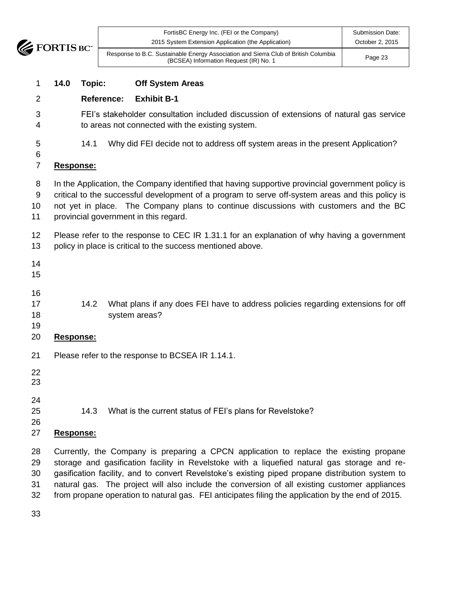

| BC" | FortisBC Energy Inc. (FEI or the Company)<br>2015 System Extension Application (the Application)                              | Submission Date:<br>October 2, 2015 |
|-----|-------------------------------------------------------------------------------------------------------------------------------|-------------------------------------|
|     | Response to B.C. Sustainable Energy Association and Sierra Club of British Columbia<br>(BCSEA) Information Request (IR) No. 1 | Page 23                             |

#### **14.0 Topic: Off System Areas**

#### **Reference: Exhibit B-1**

- FEI's stakeholder consultation included discussion of extensions of natural gas service to areas not connected with the existing system.
- 

14.1 Why did FEI decide not to address off system areas in the present Application?

## 

## **Response:**

- In the Application, the Company identified that having supportive provincial government policy is critical to the successful development of a program to serve off-system areas and this policy is not yet in place. The Company plans to continue discussions with customers and the BC
- provincial government in this regard.
- 12 Please refer to the response to CEC IR 1.31.1 for an explanation of why having a government 13 policy in place is critical to the success mentioned above.
- 
- 
- 
- 17 15 14.2 What plans if any does FEI have to address policies regarding extensions for off system areas?
- 
- **Response:**
- Please refer to the response to BCSEA IR 1.14.1.
- 
- 
- 
- 14.3 What is the current status of FEI's plans for Revelstoke?
- 

#### **Response:**

 Currently, the Company is preparing a CPCN application to replace the existing propane storage and gasification facility in Revelstoke with a liquefied natural gas storage and re- gasification facility, and to convert Revelstoke's existing piped propane distribution system to natural gas. The project will also include the conversion of all existing customer appliances from propane operation to natural gas. FEI anticipates filing the application by the end of 2015.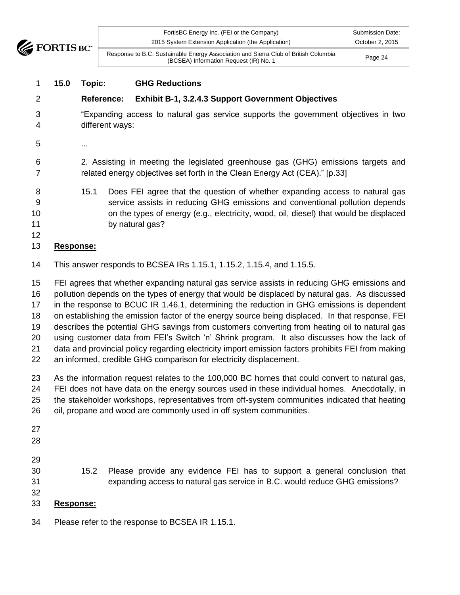

| $\blacksquare$<br>Ċ. | FortisBC Energy Inc. (FEI or the Company)<br>2015 System Extension Application (the Application)                              | Submission Date:<br>October 2, 2015 |
|----------------------|-------------------------------------------------------------------------------------------------------------------------------|-------------------------------------|
|                      | Response to B.C. Sustainable Energy Association and Sierra Club of British Columbia<br>(BCSEA) Information Request (IR) No. 1 | Page 24                             |

#### **15.0 Topic: GHG Reductions**

#### **Reference: Exhibit B-1, 3.2.4.3 Support Government Objectives**

- "Expanding access to natural gas service supports the government objectives in two different ways:
- ...

 2. Assisting in meeting the legislated greenhouse gas (GHG) emissions targets and related energy objectives set forth in the Clean Energy Act (CEA)." [p.33]

 15.1 Does FEI agree that the question of whether expanding access to natural gas service assists in reducing GHG emissions and conventional pollution depends on the types of energy (e.g., electricity, wood, oil, diesel) that would be displaced 11 by natural gas?

#### **Response:**

This answer responds to BCSEA IRs 1.15.1, 1.15.2, 1.15.4, and 1.15.5.

 FEI agrees that whether expanding natural gas service assists in reducing GHG emissions and pollution depends on the types of energy that would be displaced by natural gas. As discussed in the response to BCUC IR 1.46.1, determining the reduction in GHG emissions is dependent on establishing the emission factor of the energy source being displaced. In that response, FEI describes the potential GHG savings from customers converting from heating oil to natural gas using customer data from FEI's Switch 'n' Shrink program. It also discusses how the lack of data and provincial policy regarding electricity import emission factors prohibits FEI from making an informed, credible GHG comparison for electricity displacement.

- As the information request relates to the 100,000 BC homes that could convert to natural gas, FEI does not have data on the energy sources used in these individual homes. Anecdotally, in the stakeholder workshops, representatives from off-system communities indicated that heating oil, propane and wood are commonly used in off system communities.
- 
- 
- 

 15.2 Please provide any evidence FEI has to support a general conclusion that expanding access to natural gas service in B.C. would reduce GHG emissions?

#### **Response:**

Please refer to the response to BCSEA IR 1.15.1.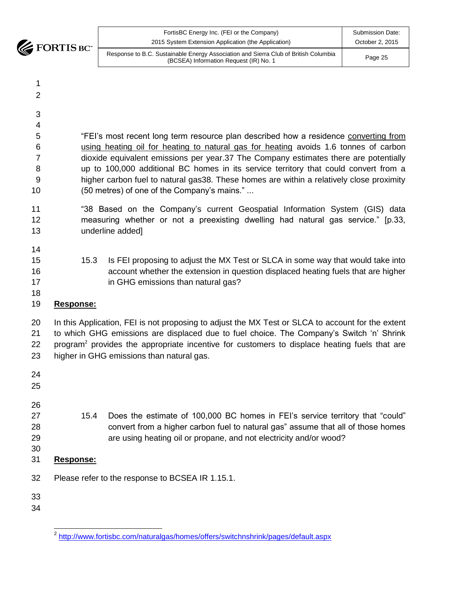**EXECUTE FORTIS BC** 

| FortisBC Energy Inc. (FEI or the Company)                                                                                     | Submission Date: |
|-------------------------------------------------------------------------------------------------------------------------------|------------------|
| 2015 System Extension Application (the Application)                                                                           | October 2, 2015  |
| Response to B.C. Sustainable Energy Association and Sierra Club of British Columbia<br>(BCSEA) Information Request (IR) No. 1 | Page 25          |

- 
- 
- 
- 

 "FEI's most recent long term resource plan described how a residence converting from using heating oil for heating to natural gas for heating avoids 1.6 tonnes of carbon dioxide equivalent emissions per year.37 The Company estimates there are potentially up to 100,000 additional BC homes in its service territory that could convert from a higher carbon fuel to natural gas38. These homes are within a relatively close proximity (50 metres) of one of the Company's mains." ...

- "38 Based on the Company's current Geospatial Information System (GIS) data measuring whether or not a preexisting dwelling had natural gas service." [p.33, underline added]
- 
- 15.3 Is FEI proposing to adjust the MX Test or SLCA in some way that would take into account whether the extension in question displaced heating fuels that are higher **in GHG emissions than natural gas?**
- 

## **Response:**

20 In this Application, FEI is not proposing to adjust the MX Test or SLCA to account for the extent to which GHG emissions are displaced due to fuel choice. The Company's Switch 'n' Shrink 22 program<sup>2</sup> provides the appropriate incentive for customers to displace heating fuels that are higher in GHG emissions than natural gas.

- 15.4 Does the estimate of 100,000 BC homes in FEI's service territory that "could" convert from a higher carbon fuel to natural gas" assume that all of those homes are using heating oil or propane, and not electricity and/or wood? **Response:** Please refer to the response to BCSEA IR 1.15.1.
- 

 <sup>2</sup> <http://www.fortisbc.com/naturalgas/homes/offers/switchnshrink/pages/default.aspx>